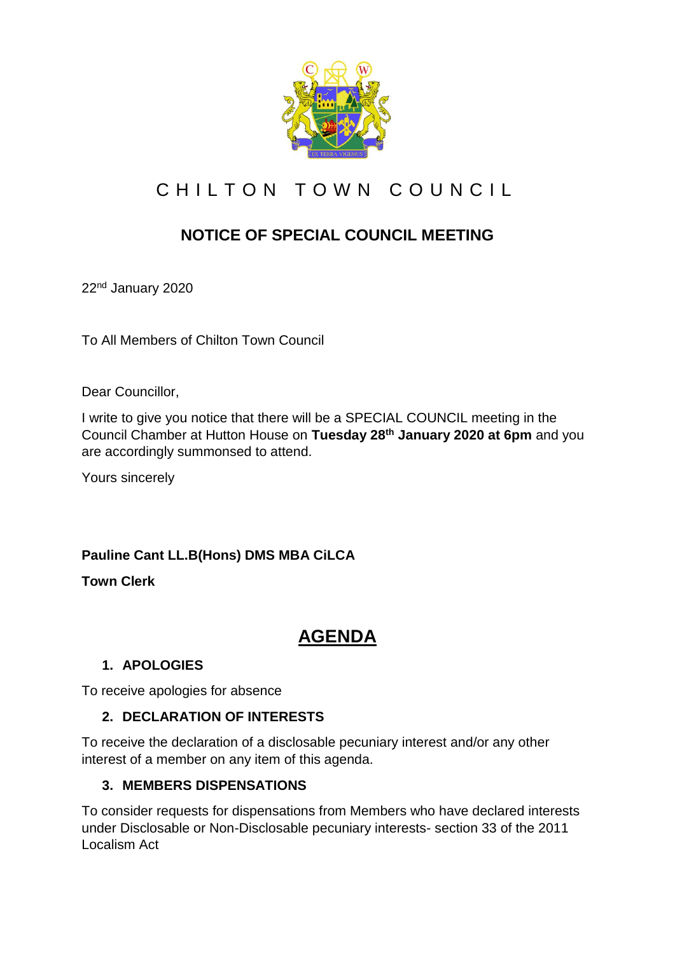

# CHILTON TOWN COUNCIL

# **NOTICE OF SPECIAL COUNCIL MEETING**

22nd January 2020

To All Members of Chilton Town Council

Dear Councillor,

I write to give you notice that there will be a SPECIAL COUNCIL meeting in the Council Chamber at Hutton House on **Tuesday 28th January 2020 at 6pm** and you are accordingly summonsed to attend.

Yours sincerely

#### **Pauline Cant LL.B(Hons) DMS MBA CiLCA**

**Town Clerk**

## **AGENDA**

#### **1. APOLOGIES**

To receive apologies for absence

#### **2. DECLARATION OF INTERESTS**

To receive the declaration of a disclosable pecuniary interest and/or any other interest of a member on any item of this agenda.

#### **3. MEMBERS DISPENSATIONS**

To consider requests for dispensations from Members who have declared interests under Disclosable or Non-Disclosable pecuniary interests- section 33 of the 2011 Localism Act